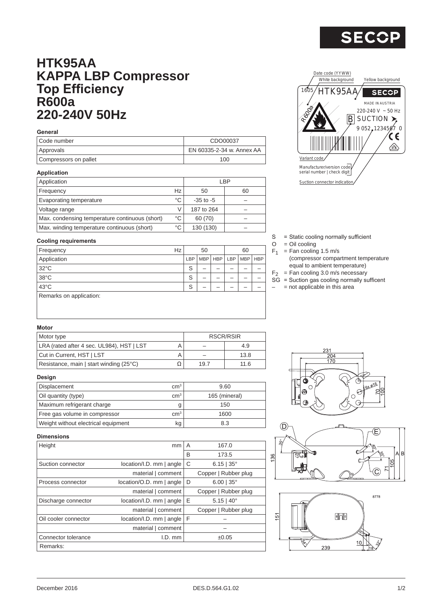

## **HTK95AA KAPPA LBP Compressor Top Efficiency R600a 220-240V 50Hz**

#### **General**

| Code number           | CDO00037                  |
|-----------------------|---------------------------|
| Approvals             | EN 60335-2-34 w. Annex AA |
| Compressors on pallet | 100                       |

#### **Application**

| Application                                    |    |               | LBP |
|------------------------------------------------|----|---------------|-----|
| Frequency                                      | Hz | 50            | 60  |
| Evaporating temperature                        | °C | $-35$ to $-5$ |     |
| Voltage range                                  |    | 187 to 264    |     |
| Max. condensing temperature continuous (short) | °C | 60 (70)       |     |
| Max. winding temperature continuous (short)    | °C | 130 (130)     |     |

#### **Cooling requirements**

| $500$ $\ldots$ $\ldots$ $\ldots$ $\ldots$ |    |     |    |  |                       |            |  |
|-------------------------------------------|----|-----|----|--|-----------------------|------------|--|
| Frequency                                 | Hz |     | 50 |  | 60                    |            |  |
| Application                               |    | LBP |    |  | MBP   HBP   LBP   MBP | <b>HBP</b> |  |
| $32^{\circ}$ C                            |    | S   |    |  |                       |            |  |
| $38^{\circ}$ C                            |    | S   |    |  |                       |            |  |
| 43°C                                      |    | S   |    |  |                       |            |  |
| Remarks on application:                   |    |     |    |  |                       |            |  |



- S = Static cooling normally sufficient
- $O = Oil$  cooling
- $F_1$  = Fan cooling 1.5 m/s
	- (compressor compartment temperature equal to ambient temperature)
- $F_2$  = Fan cooling 3.0 m/s necessary
- SG = Suction gas cooling normally sufficent
- $-$  = not applicable in this area

#### **Motor**

| Motor type                                |      | <b>RSCR/RSIR</b> |
|-------------------------------------------|------|------------------|
| LRA (rated after 4 sec. UL984), HST   LST |      | 4.9              |
| Cut in Current, HST   LST                 |      | 13.8             |
| Resistance, main   start winding (25°C)   | 19.7 | 11.6             |

#### **Design**

| Displacement                        | cm <sup>3</sup> | 9.60          |
|-------------------------------------|-----------------|---------------|
| Oil quantity (type)                 | cm <sup>3</sup> | 165 (mineral) |
| Maximum refrigerant charge          |                 | 150           |
| Free gas volume in compressor       | cm <sup>3</sup> | 1600          |
| Weight without electrical equipment | kg              | 8.3           |

# $231$  $\frac{204}{170}$ ଢ଼  $\overline{C}$





### **Dimensions**

| Height               | mm                           | A | 167.0                  |
|----------------------|------------------------------|---|------------------------|
|                      |                              | B | 173.5                  |
| Suction connector    | location/I.D. mm   angle     | C | $6.15$   35°           |
|                      | material   comment           |   | Copper   Rubber plug   |
| Process connector    | $location/O.D.$ mm $ angle$  | D | $6.00$   35°           |
|                      | material   comment           |   | Copper   Rubber plug   |
| Discharge connector  | location/I.D. mm   angle     | Ε | $5.15 \mid 40^{\circ}$ |
|                      | material   comment           |   | Copper   Rubber plug   |
| Oil cooler connector | $location/I.D.$ mm $ $ angle | F |                        |
|                      | material   comment           |   |                        |
| Connector tolerance  | $I.D.$ mm                    |   | ±0.05                  |
| Remarks:             |                              |   |                        |